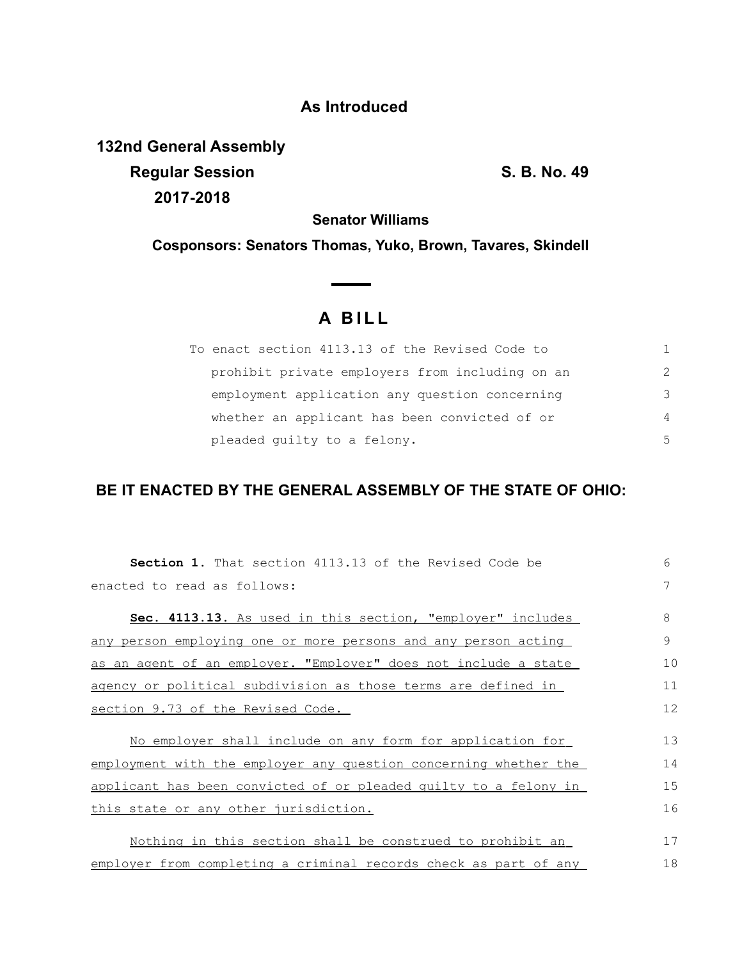## **As Introduced**

**132nd General Assembly Regular Session S. B. No. 49 2017-2018**

**Senator Williams**

**Cosponsors: Senators Thomas, Yuko, Brown, Tavares, Skindell**

 $\overline{\phantom{0}}$ 

## **A BILL**

| To enact section 4113.13 of the Revised Code to |               |
|-------------------------------------------------|---------------|
| prohibit private employers from including on an | $\mathcal{L}$ |
| employment application any question concerning  | 3             |
| whether an applicant has been convicted of or   | 4             |
| pleaded quilty to a felony.                     | 5             |

## **BE IT ENACTED BY THE GENERAL ASSEMBLY OF THE STATE OF OHIO:**

| <b>Section 1.</b> That section 4113.13 of the Revised Code be         | 6  |
|-----------------------------------------------------------------------|----|
| enacted to read as follows:                                           | 7  |
| Sec. 4113.13. As used in this section, "employer" includes            | 8  |
| <u>any person employing one or more persons and any person acting</u> | 9  |
| as an agent of an employer. "Employer" does not include a state       | 10 |
| agency or political subdivision as those terms are defined in         | 11 |
| section 9.73 of the Revised Code.                                     |    |
| No employer shall include on any form for application for             | 13 |
| employment with the employer any question concerning whether the      | 14 |
| applicant has been convicted of or pleaded quilty to a felony in      | 15 |
| this state or any other jurisdiction.                                 | 16 |
| Nothing in this section shall be construed to prohibit an             | 17 |
| employer from completing a criminal records check as part of any      | 18 |